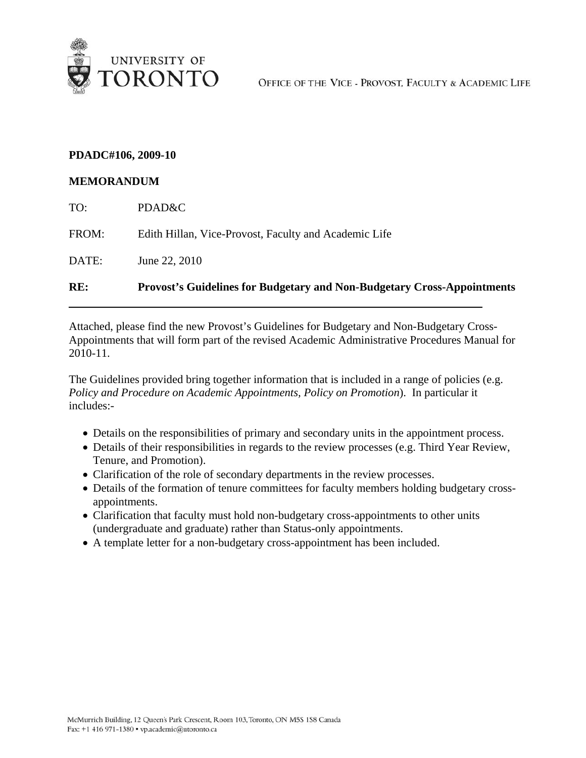

### **PDADC#106, 2009-10**

#### **MEMORANDUM**

| RE:   | <b>Provost's Guidelines for Budgetary and Non-Budgetary Cross-Appointments</b> |
|-------|--------------------------------------------------------------------------------|
| DATE: | June 22, 2010                                                                  |
| FROM: | Edith Hillan, Vice-Provost, Faculty and Academic Life                          |
| TO:   | PDAD&C                                                                         |

Attached, please find the new Provost's Guidelines for Budgetary and Non-Budgetary Cross-Appointments that will form part of the revised Academic Administrative Procedures Manual for 2010-11.

The Guidelines provided bring together information that is included in a range of policies (e.g. *Policy and Procedure on Academic Appointments, Policy on Promotion*). In particular it includes:-

- Details on the responsibilities of primary and secondary units in the appointment process.
- Details of their responsibilities in regards to the review processes (e.g. Third Year Review, Tenure, and Promotion).
- Clarification of the role of secondary departments in the review processes.
- Details of the formation of tenure committees for faculty members holding budgetary crossappointments.
- Clarification that faculty must hold non-budgetary cross-appointments to other units (undergraduate and graduate) rather than Status-only appointments.
- A template letter for a non-budgetary cross-appointment has been included.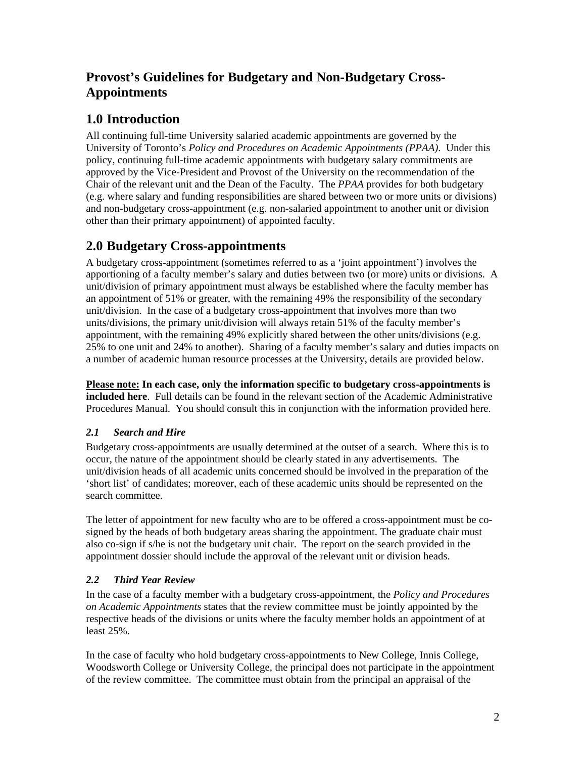# **Provost's Guidelines for Budgetary and Non-Budgetary Cross-Appointments**

# **1.0 Introduction**

All continuing full-time University salaried academic appointments are governed by the University of Toronto's *Policy and Procedures on Academic Appointments (PPAA)*. Under this policy, continuing full-time academic appointments with budgetary salary commitments are approved by the Vice-President and Provost of the University on the recommendation of the Chair of the relevant unit and the Dean of the Faculty. The *PPAA* provides for both budgetary (e.g. where salary and funding responsibilities are shared between two or more units or divisions) and non-budgetary cross-appointment (e.g. non-salaried appointment to another unit or division other than their primary appointment) of appointed faculty.

# **2.0 Budgetary Cross-appointments**

A budgetary cross-appointment (sometimes referred to as a 'joint appointment') involves the apportioning of a faculty member's salary and duties between two (or more) units or divisions. A unit/division of primary appointment must always be established where the faculty member has an appointment of 51% or greater, with the remaining 49% the responsibility of the secondary unit/division. In the case of a budgetary cross-appointment that involves more than two units/divisions, the primary unit/division will always retain 51% of the faculty member's appointment, with the remaining 49% explicitly shared between the other units/divisions (e.g. 25% to one unit and 24% to another). Sharing of a faculty member's salary and duties impacts on a number of academic human resource processes at the University, details are provided below.

**Please note: In each case, only the information specific to budgetary cross-appointments is included here**. Full details can be found in the relevant section of the Academic Administrative Procedures Manual. You should consult this in conjunction with the information provided here.

# *2.1 Search and Hire*

Budgetary cross-appointments are usually determined at the outset of a search. Where this is to occur, the nature of the appointment should be clearly stated in any advertisements. The unit/division heads of all academic units concerned should be involved in the preparation of the 'short list' of candidates; moreover, each of these academic units should be represented on the search committee.

The letter of appointment for new faculty who are to be offered a cross-appointment must be cosigned by the heads of both budgetary areas sharing the appointment. The graduate chair must also co-sign if s/he is not the budgetary unit chair. The report on the search provided in the appointment dossier should include the approval of the relevant unit or division heads.

# *2.2 Third Year Review*

In the case of a faculty member with a budgetary cross-appointment, the *Policy and Procedures on Academic Appointments* states that the review committee must be jointly appointed by the respective heads of the divisions or units where the faculty member holds an appointment of at least 25%.

In the case of faculty who hold budgetary cross-appointments to New College, Innis College, Woodsworth College or University College, the principal does not participate in the appointment of the review committee. The committee must obtain from the principal an appraisal of the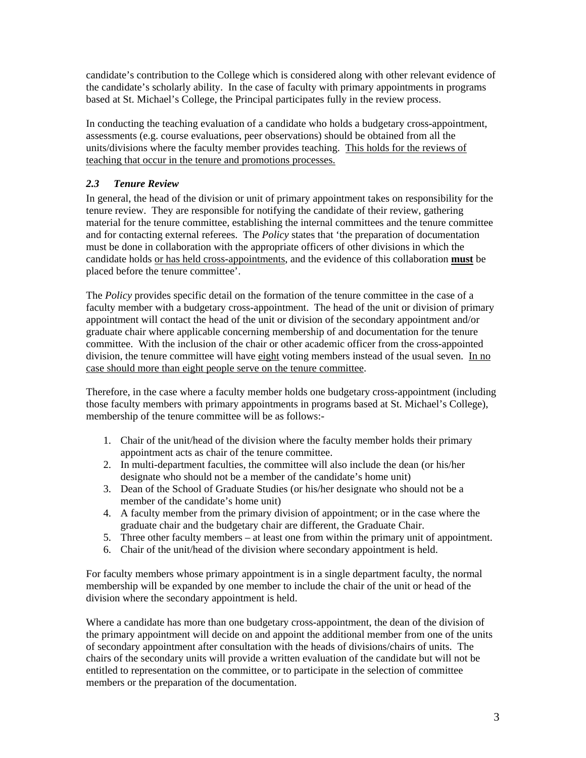candidate's contribution to the College which is considered along with other relevant evidence of the candidate's scholarly ability. In the case of faculty with primary appointments in programs based at St. Michael's College, the Principal participates fully in the review process.

In conducting the teaching evaluation of a candidate who holds a budgetary cross-appointment, assessments (e.g. course evaluations, peer observations) should be obtained from all the units/divisions where the faculty member provides teaching. This holds for the reviews of teaching that occur in the tenure and promotions processes.

# *2.3 Tenure Review*

In general, the head of the division or unit of primary appointment takes on responsibility for the tenure review. They are responsible for notifying the candidate of their review, gathering material for the tenure committee, establishing the internal committees and the tenure committee and for contacting external referees. The *Policy* states that 'the preparation of documentation must be done in collaboration with the appropriate officers of other divisions in which the candidate holds or has held cross-appointments, and the evidence of this collaboration **must** be placed before the tenure committee'.

The *Policy* provides specific detail on the formation of the tenure committee in the case of a faculty member with a budgetary cross-appointment. The head of the unit or division of primary appointment will contact the head of the unit or division of the secondary appointment and/or graduate chair where applicable concerning membership of and documentation for the tenure committee. With the inclusion of the chair or other academic officer from the cross-appointed division, the tenure committee will have eight voting members instead of the usual seven. In no case should more than eight people serve on the tenure committee.

Therefore, in the case where a faculty member holds one budgetary cross-appointment (including those faculty members with primary appointments in programs based at St. Michael's College), membership of the tenure committee will be as follows:-

- 1. Chair of the unit/head of the division where the faculty member holds their primary appointment acts as chair of the tenure committee.
- 2. In multi-department faculties, the committee will also include the dean (or his/her designate who should not be a member of the candidate's home unit)
- 3. Dean of the School of Graduate Studies (or his/her designate who should not be a member of the candidate's home unit)
- 4. A faculty member from the primary division of appointment; or in the case where the graduate chair and the budgetary chair are different, the Graduate Chair.
- 5. Three other faculty members at least one from within the primary unit of appointment.
- 6. Chair of the unit/head of the division where secondary appointment is held.

For faculty members whose primary appointment is in a single department faculty, the normal membership will be expanded by one member to include the chair of the unit or head of the division where the secondary appointment is held.

Where a candidate has more than one budgetary cross-appointment, the dean of the division of the primary appointment will decide on and appoint the additional member from one of the units of secondary appointment after consultation with the heads of divisions/chairs of units. The chairs of the secondary units will provide a written evaluation of the candidate but will not be entitled to representation on the committee, or to participate in the selection of committee members or the preparation of the documentation.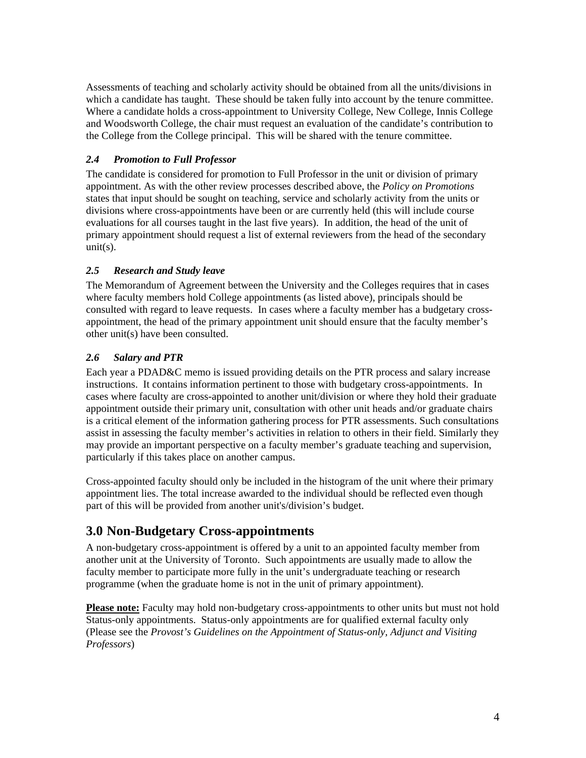Assessments of teaching and scholarly activity should be obtained from all the units/divisions in which a candidate has taught. These should be taken fully into account by the tenure committee. Where a candidate holds a cross-appointment to University College, New College, Innis College and Woodsworth College, the chair must request an evaluation of the candidate's contribution to the College from the College principal. This will be shared with the tenure committee.

### *2.4 Promotion to Full Professor*

The candidate is considered for promotion to Full Professor in the unit or division of primary appointment. As with the other review processes described above, the *Policy on Promotions*  states that input should be sought on teaching, service and scholarly activity from the units or divisions where cross-appointments have been or are currently held (this will include course evaluations for all courses taught in the last five years). In addition, the head of the unit of primary appointment should request a list of external reviewers from the head of the secondary  $unit(s)$ .

#### *2.5 Research and Study leave*

The Memorandum of Agreement between the University and the Colleges requires that in cases where faculty members hold College appointments (as listed above), principals should be consulted with regard to leave requests. In cases where a faculty member has a budgetary crossappointment, the head of the primary appointment unit should ensure that the faculty member's other unit(s) have been consulted.

### *2.6 Salary and PTR*

Each year a PDAD&C memo is issued providing details on the PTR process and salary increase instructions. It contains information pertinent to those with budgetary cross-appointments. In cases where faculty are cross-appointed to another unit/division or where they hold their graduate appointment outside their primary unit, consultation with other unit heads and/or graduate chairs is a critical element of the information gathering process for PTR assessments. Such consultations assist in assessing the faculty member's activities in relation to others in their field. Similarly they may provide an important perspective on a faculty member's graduate teaching and supervision, particularly if this takes place on another campus.

Cross-appointed faculty should only be included in the histogram of the unit where their primary appointment lies. The total increase awarded to the individual should be reflected even though part of this will be provided from another unit's/division's budget.

# **3.0 Non-Budgetary Cross-appointments**

A non-budgetary cross-appointment is offered by a unit to an appointed faculty member from another unit at the University of Toronto. Such appointments are usually made to allow the faculty member to participate more fully in the unit's undergraduate teaching or research programme (when the graduate home is not in the unit of primary appointment).

**Please note:** Faculty may hold non-budgetary cross-appointments to other units but must not hold Status-only appointments. Status-only appointments are for qualified external faculty only (Please see the *Provost's Guidelines on the Appointment of Status-only, Adjunct and Visiting Professors*)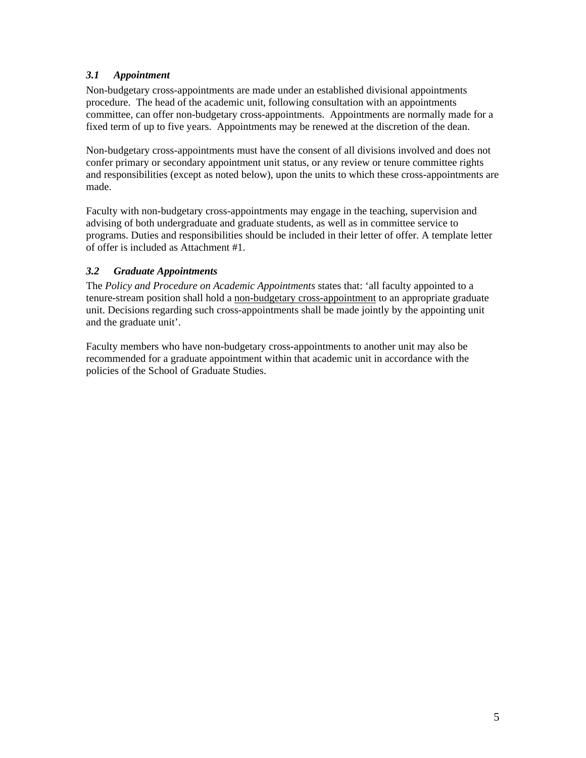### *3.1 Appointment*

Non-budgetary cross-appointments are made under an established divisional appointments procedure. The head of the academic unit, following consultation with an appointments committee, can offer non-budgetary cross-appointments. Appointments are normally made for a fixed term of up to five years. Appointments may be renewed at the discretion of the dean.

Non-budgetary cross-appointments must have the consent of all divisions involved and does not confer primary or secondary appointment unit status, or any review or tenure committee rights and responsibilities (except as noted below), upon the units to which these cross-appointments are made.

Faculty with non-budgetary cross-appointments may engage in the teaching, supervision and advising of both undergraduate and graduate students, as well as in committee service to programs. Duties and responsibilities should be included in their letter of offer. A template letter of offer is included as Attachment #1.

#### *3.2 Graduate Appointments*

The *Policy and Procedure on Academic Appointments* states that: 'all faculty appointed to a tenure-stream position shall hold a non-budgetary cross-appointment to an appropriate graduate unit. Decisions regarding such cross-appointments shall be made jointly by the appointing unit and the graduate unit'.

Faculty members who have non-budgetary cross-appointments to another unit may also be recommended for a graduate appointment within that academic unit in accordance with the policies of the School of Graduate Studies.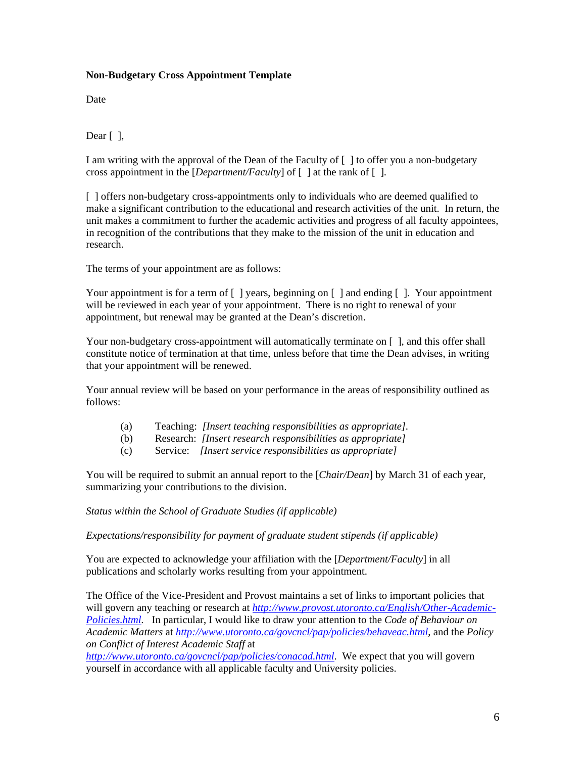#### **Non-Budgetary Cross Appointment Template**

**Date** 

Dear  $\lceil \cdot \rceil$ ,

I am writing with the approval of the Dean of the Faculty of [ ] to offer you a non-budgetary cross appointment in the [*Department/Faculty*] of [ ] at the rank of [ ].

[ ] offers non-budgetary cross-appointments only to individuals who are deemed qualified to make a significant contribution to the educational and research activities of the unit. In return, the unit makes a commitment to further the academic activities and progress of all faculty appointees, in recognition of the contributions that they make to the mission of the unit in education and research.

The terms of your appointment are as follows:

Your appointment is for a term of  $\lceil \cdot \rceil$  years, beginning on  $\lceil \cdot \rceil$  and ending  $\lceil \cdot \rceil$ . Your appointment will be reviewed in each year of your appointment. There is no right to renewal of your appointment, but renewal may be granted at the Dean's discretion.

Your non-budgetary cross-appointment will automatically terminate on  $\lceil \cdot \rceil$ , and this offer shall constitute notice of termination at that time, unless before that time the Dean advises, in writing that your appointment will be renewed.

Your annual review will be based on your performance in the areas of responsibility outlined as follows:

- (a) Teaching: *[Insert teaching responsibilities as appropriate].*
- (b) Research: *[Insert research responsibilities as appropriate]*
- (c) Service: *[Insert service responsibilities as appropriate]*

You will be required to submit an annual report to the [*Chair/Dean*] by March 31 of each year, summarizing your contributions to the division.

*Status within the School of Graduate Studies (if applicable)* 

*Expectations/responsibility for payment of graduate student stipends (if applicable)* 

You are expected to acknowledge your affiliation with the [*Department/Faculty*] in all publications and scholarly works resulting from your appointment.

The Office of the Vice-President and Provost maintains a set of links to important policies that will govern any teaching or research at *http://www.provost.utoronto.ca/English/Other-Academic-Policies.html.* In particular, I would like to draw your attention to the *Code of Behaviour on Academic Matters* at *http://www.utoronto.ca/govcncl/pap/policies/behaveac.html*, and the *Policy on Conflict of Interest Academic Staff* at

*http://www.utoronto.ca/govcncl/pap/policies/conacad.html*. We expect that you will govern yourself in accordance with all applicable faculty and University policies.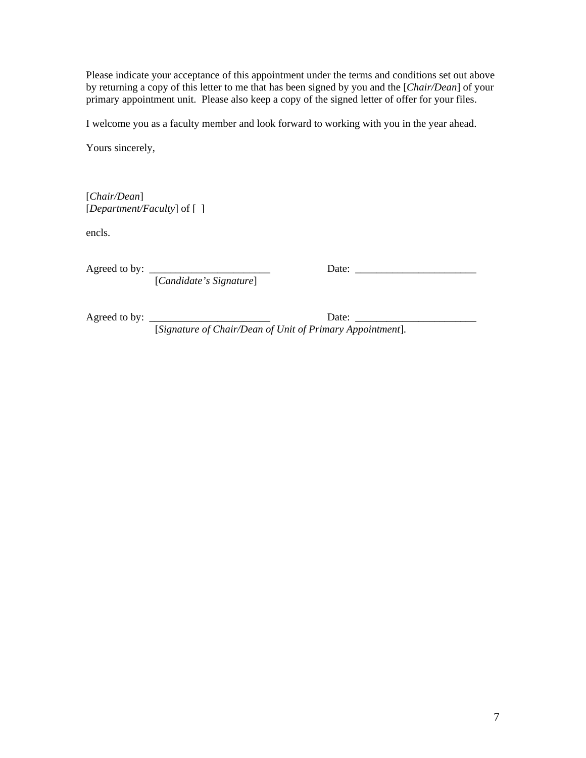Please indicate your acceptance of this appointment under the terms and conditions set out above by returning a copy of this letter to me that has been signed by you and the [*Chair/Dean*] of your primary appointment unit. Please also keep a copy of the signed letter of offer for your files.

I welcome you as a faculty member and look forward to working with you in the year ahead.

Yours sincerely,

[*Chair/Dean*] [*Department/Faculty*] of [ ]

encls.

[*Candidate's Signature*]

Agreed to by: \_\_\_\_\_\_\_\_\_\_\_\_\_\_\_\_\_\_\_\_\_\_\_ Date: \_\_\_\_\_\_\_\_\_\_\_\_\_\_\_\_\_\_\_\_\_\_\_

Agreed to by: \_\_\_\_\_\_\_\_\_\_\_\_\_\_\_\_\_\_\_\_\_\_\_ Date: \_\_\_\_\_\_\_\_\_\_\_\_\_\_\_\_\_\_\_\_\_\_\_

[*Signature of Chair/Dean of Unit of Primary Appointment*].